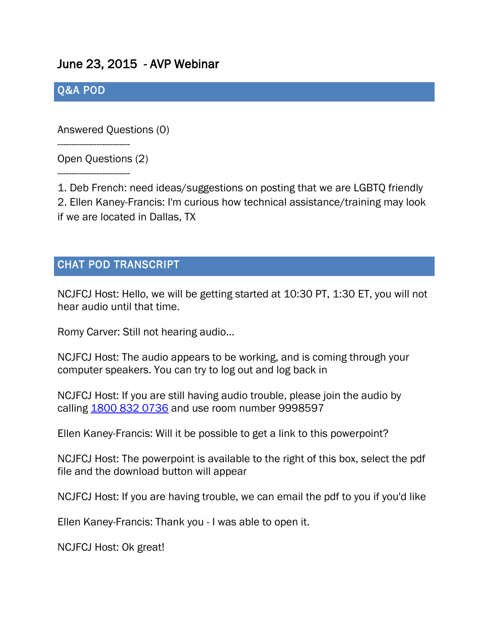## June 23, 2015 - AVP Webinar

## Q&A POD

Answered Questions (0)

Open Questions (2)

--------------------------

--------------------------

1. Deb French: need ideas/suggestions on posting that we are LGBTQ friendly 2. Ellen Kaney-Francis: I'm curious how technical assistance/training may look if we are located in Dallas, TX

## CHAT POD TRANSCRIPT

NCJFCJ Host: Hello, we will be getting started at 10:30 PT, 1:30 ET, you will not hear audio until that time.

Romy Carver: Still not hearing audio...

NCJFCJ Host: The audio appears to be working, and is coming through your computer speakers. You can try to log out and log back in

NCJFCJ Host: If you are still having audio trouble, please join the audio by calling [1800 832 0736](tel:1800%20832%200736) and use room number 9998597

Ellen Kaney-Francis: Will it be possible to get a link to this powerpoint?

NCJFCJ Host: The powerpoint is available to the right of this box, select the pdf file and the download button will appear

NCJFCJ Host: If you are having trouble, we can email the pdf to you if you'd like

Ellen Kaney-Francis: Thank you - I was able to open it.

NCJFCJ Host: Ok great!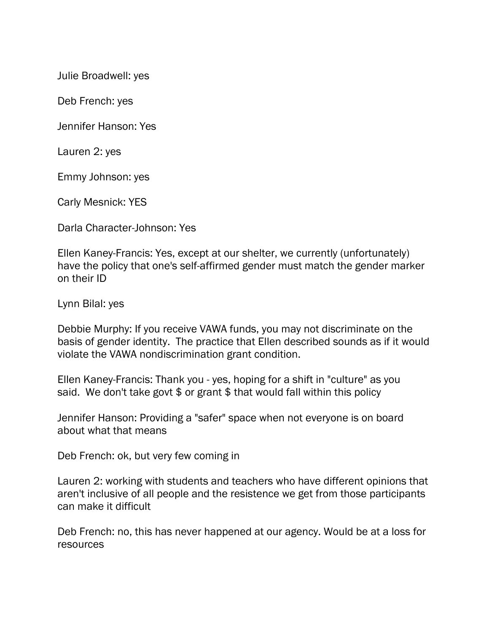Julie Broadwell: yes

Deb French: yes

Jennifer Hanson: Yes

Lauren 2: yes

Emmy Johnson: yes

Carly Mesnick: YES

Darla Character-Johnson: Yes

Ellen Kaney-Francis: Yes, except at our shelter, we currently (unfortunately) have the policy that one's self-affirmed gender must match the gender marker on their ID

Lynn Bilal: yes

Debbie Murphy: If you receive VAWA funds, you may not discriminate on the basis of gender identity. The practice that Ellen described sounds as if it would violate the VAWA nondiscrimination grant condition.

Ellen Kaney-Francis: Thank you - yes, hoping for a shift in "culture" as you said. We don't take govt \$ or grant \$ that would fall within this policy

Jennifer Hanson: Providing a "safer" space when not everyone is on board about what that means

Deb French: ok, but very few coming in

Lauren 2: working with students and teachers who have different opinions that aren't inclusive of all people and the resistence we get from those participants can make it difficult

Deb French: no, this has never happened at our agency. Would be at a loss for resources